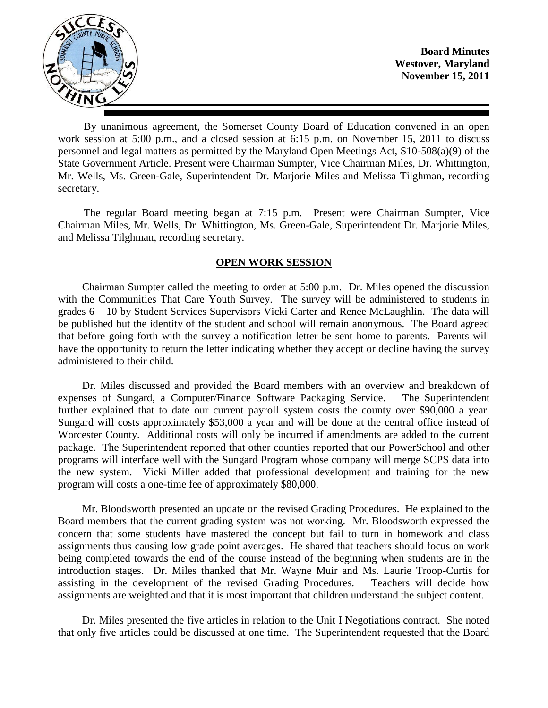

**Board Minutes Westover, Maryland November 15, 2011**

By unanimous agreement, the Somerset County Board of Education convened in an open work session at 5:00 p.m., and a closed session at 6:15 p.m. on November 15, 2011 to discuss personnel and legal matters as permitted by the Maryland Open Meetings Act, S10-508(a)(9) of the State Government Article. Present were Chairman Sumpter, Vice Chairman Miles, Dr. Whittington, Mr. Wells, Ms. Green-Gale, Superintendent Dr. Marjorie Miles and Melissa Tilghman, recording secretary.

The regular Board meeting began at 7:15 p.m. Present were Chairman Sumpter, Vice Chairman Miles, Mr. Wells, Dr. Whittington, Ms. Green-Gale, Superintendent Dr. Marjorie Miles, and Melissa Tilghman, recording secretary.

# **OPEN WORK SESSION**

Chairman Sumpter called the meeting to order at 5:00 p.m. Dr. Miles opened the discussion with the Communities That Care Youth Survey. The survey will be administered to students in grades 6 – 10 by Student Services Supervisors Vicki Carter and Renee McLaughlin. The data will be published but the identity of the student and school will remain anonymous. The Board agreed that before going forth with the survey a notification letter be sent home to parents. Parents will have the opportunity to return the letter indicating whether they accept or decline having the survey administered to their child.

Dr. Miles discussed and provided the Board members with an overview and breakdown of expenses of Sungard, a Computer/Finance Software Packaging Service. The Superintendent further explained that to date our current payroll system costs the county over \$90,000 a year. Sungard will costs approximately \$53,000 a year and will be done at the central office instead of Worcester County. Additional costs will only be incurred if amendments are added to the current package. The Superintendent reported that other counties reported that our PowerSchool and other programs will interface well with the Sungard Program whose company will merge SCPS data into the new system. Vicki Miller added that professional development and training for the new program will costs a one-time fee of approximately \$80,000.

Mr. Bloodsworth presented an update on the revised Grading Procedures. He explained to the Board members that the current grading system was not working. Mr. Bloodsworth expressed the concern that some students have mastered the concept but fail to turn in homework and class assignments thus causing low grade point averages. He shared that teachers should focus on work being completed towards the end of the course instead of the beginning when students are in the introduction stages. Dr. Miles thanked that Mr. Wayne Muir and Ms. Laurie Troop-Curtis for assisting in the development of the revised Grading Procedures. Teachers will decide how assignments are weighted and that it is most important that children understand the subject content.

Dr. Miles presented the five articles in relation to the Unit I Negotiations contract. She noted that only five articles could be discussed at one time. The Superintendent requested that the Board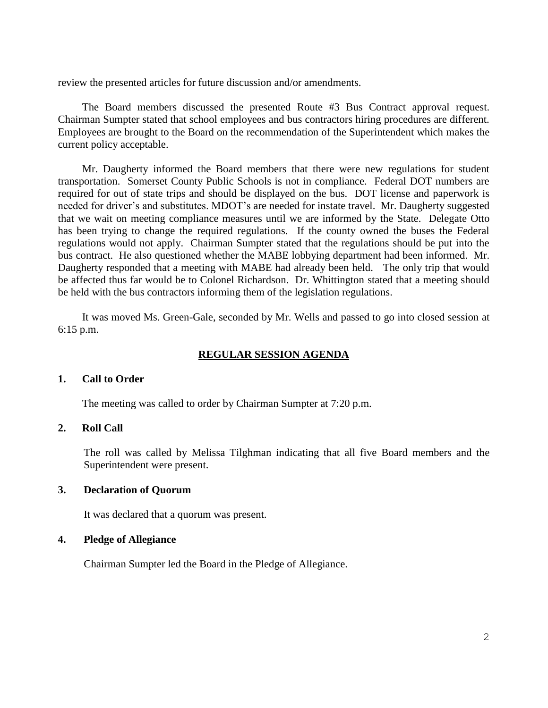review the presented articles for future discussion and/or amendments.

The Board members discussed the presented Route #3 Bus Contract approval request. Chairman Sumpter stated that school employees and bus contractors hiring procedures are different. Employees are brought to the Board on the recommendation of the Superintendent which makes the current policy acceptable.

Mr. Daugherty informed the Board members that there were new regulations for student transportation. Somerset County Public Schools is not in compliance. Federal DOT numbers are required for out of state trips and should be displayed on the bus. DOT license and paperwork is needed for driver's and substitutes. MDOT's are needed for instate travel. Mr. Daugherty suggested that we wait on meeting compliance measures until we are informed by the State. Delegate Otto has been trying to change the required regulations. If the county owned the buses the Federal regulations would not apply. Chairman Sumpter stated that the regulations should be put into the bus contract. He also questioned whether the MABE lobbying department had been informed. Mr. Daugherty responded that a meeting with MABE had already been held. The only trip that would be affected thus far would be to Colonel Richardson. Dr. Whittington stated that a meeting should be held with the bus contractors informing them of the legislation regulations.

It was moved Ms. Green-Gale, seconded by Mr. Wells and passed to go into closed session at 6:15 p.m.

### **REGULAR SESSION AGENDA**

#### **1. Call to Order**

The meeting was called to order by Chairman Sumpter at 7:20 p.m.

### **2. Roll Call**

The roll was called by Melissa Tilghman indicating that all five Board members and the Superintendent were present.

#### **3. Declaration of Quorum**

It was declared that a quorum was present.

#### **4. Pledge of Allegiance**

Chairman Sumpter led the Board in the Pledge of Allegiance.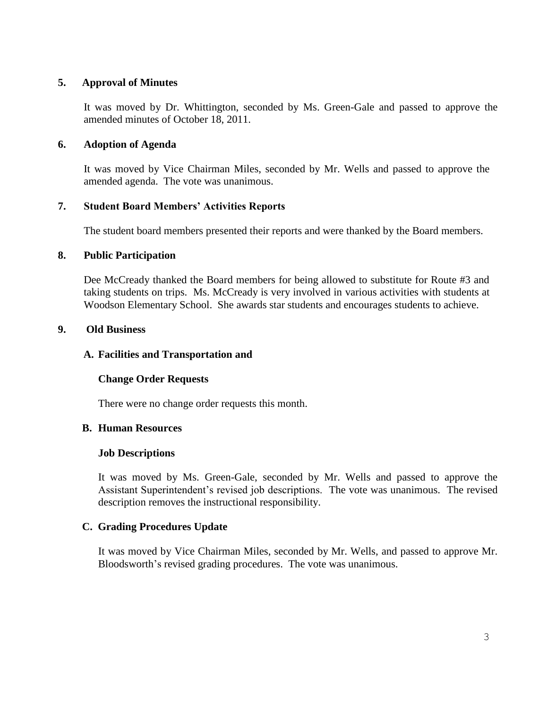# **5. Approval of Minutes**

It was moved by Dr. Whittington, seconded by Ms. Green-Gale and passed to approve the amended minutes of October 18, 2011.

# **6. Adoption of Agenda**

It was moved by Vice Chairman Miles, seconded by Mr. Wells and passed to approve the amended agenda. The vote was unanimous.

# **7. Student Board Members' Activities Reports**

The student board members presented their reports and were thanked by the Board members.

### **8. Public Participation**

Dee McCready thanked the Board members for being allowed to substitute for Route #3 and taking students on trips. Ms. McCready is very involved in various activities with students at Woodson Elementary School. She awards star students and encourages students to achieve.

### **9. Old Business**

### **A. Facilities and Transportation and**

### **Change Order Requests**

There were no change order requests this month.

# **B. Human Resources**

#### **Job Descriptions**

It was moved by Ms. Green-Gale, seconded by Mr. Wells and passed to approve the Assistant Superintendent's revised job descriptions. The vote was unanimous. The revised description removes the instructional responsibility.

### **C. Grading Procedures Update**

It was moved by Vice Chairman Miles, seconded by Mr. Wells, and passed to approve Mr. Bloodsworth's revised grading procedures. The vote was unanimous.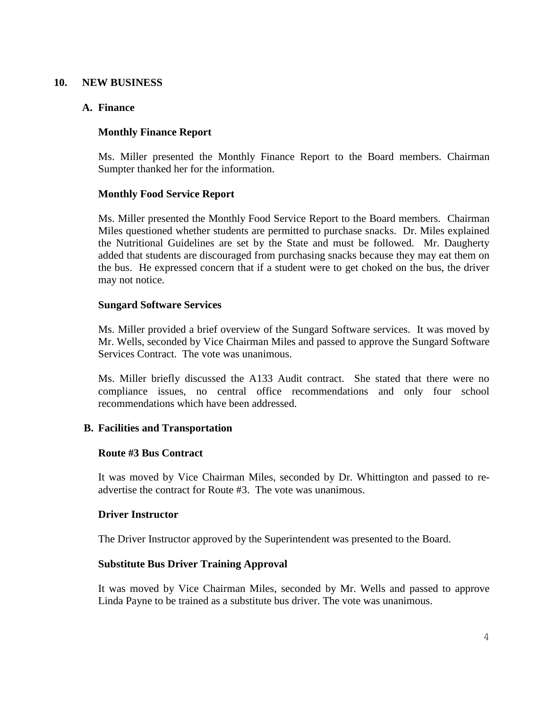### **10. NEW BUSINESS**

### **A. Finance**

### **Monthly Finance Report**

Ms. Miller presented the Monthly Finance Report to the Board members. Chairman Sumpter thanked her for the information.

### **Monthly Food Service Report**

Ms. Miller presented the Monthly Food Service Report to the Board members. Chairman Miles questioned whether students are permitted to purchase snacks. Dr. Miles explained the Nutritional Guidelines are set by the State and must be followed. Mr. Daugherty added that students are discouraged from purchasing snacks because they may eat them on the bus. He expressed concern that if a student were to get choked on the bus, the driver may not notice.

### **Sungard Software Services**

Ms. Miller provided a brief overview of the Sungard Software services. It was moved by Mr. Wells, seconded by Vice Chairman Miles and passed to approve the Sungard Software Services Contract. The vote was unanimous.

Ms. Miller briefly discussed the A133 Audit contract. She stated that there were no compliance issues, no central office recommendations and only four school recommendations which have been addressed.

### **B. Facilities and Transportation**

#### **Route #3 Bus Contract**

It was moved by Vice Chairman Miles, seconded by Dr. Whittington and passed to readvertise the contract for Route #3. The vote was unanimous.

#### **Driver Instructor**

The Driver Instructor approved by the Superintendent was presented to the Board.

#### **Substitute Bus Driver Training Approval**

It was moved by Vice Chairman Miles, seconded by Mr. Wells and passed to approve Linda Payne to be trained as a substitute bus driver. The vote was unanimous.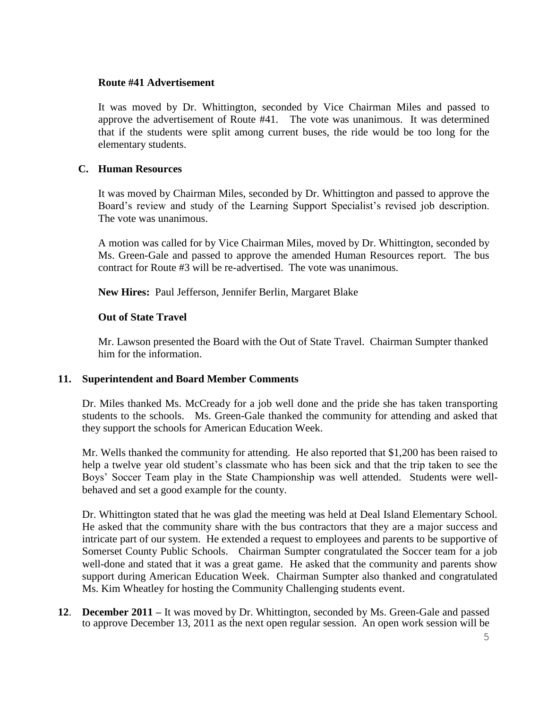### **Route #41 Advertisement**

It was moved by Dr. Whittington, seconded by Vice Chairman Miles and passed to approve the advertisement of Route #41. The vote was unanimous. It was determined that if the students were split among current buses, the ride would be too long for the elementary students.

### **C. Human Resources**

It was moved by Chairman Miles, seconded by Dr. Whittington and passed to approve the Board's review and study of the Learning Support Specialist's revised job description. The vote was unanimous.

A motion was called for by Vice Chairman Miles, moved by Dr. Whittington, seconded by Ms. Green-Gale and passed to approve the amended Human Resources report. The bus contract for Route #3 will be re-advertised. The vote was unanimous.

**New Hires:** Paul Jefferson, Jennifer Berlin, Margaret Blake

### **Out of State Travel**

Mr. Lawson presented the Board with the Out of State Travel. Chairman Sumpter thanked him for the information.

### **11. Superintendent and Board Member Comments**

Dr. Miles thanked Ms. McCready for a job well done and the pride she has taken transporting students to the schools. Ms. Green-Gale thanked the community for attending and asked that they support the schools for American Education Week.

Mr. Wells thanked the community for attending. He also reported that \$1,200 has been raised to help a twelve year old student's classmate who has been sick and that the trip taken to see the Boys' Soccer Team play in the State Championship was well attended. Students were wellbehaved and set a good example for the county.

Dr. Whittington stated that he was glad the meeting was held at Deal Island Elementary School. He asked that the community share with the bus contractors that they are a major success and intricate part of our system. He extended a request to employees and parents to be supportive of Somerset County Public Schools. Chairman Sumpter congratulated the Soccer team for a job well-done and stated that it was a great game. He asked that the community and parents show support during American Education Week. Chairman Sumpter also thanked and congratulated Ms. Kim Wheatley for hosting the Community Challenging students event.

**12**. **December 2011 –** It was moved by Dr. Whittington, seconded by Ms. Green-Gale and passed to approve December 13, 2011 as the next open regular session. An open work session will be